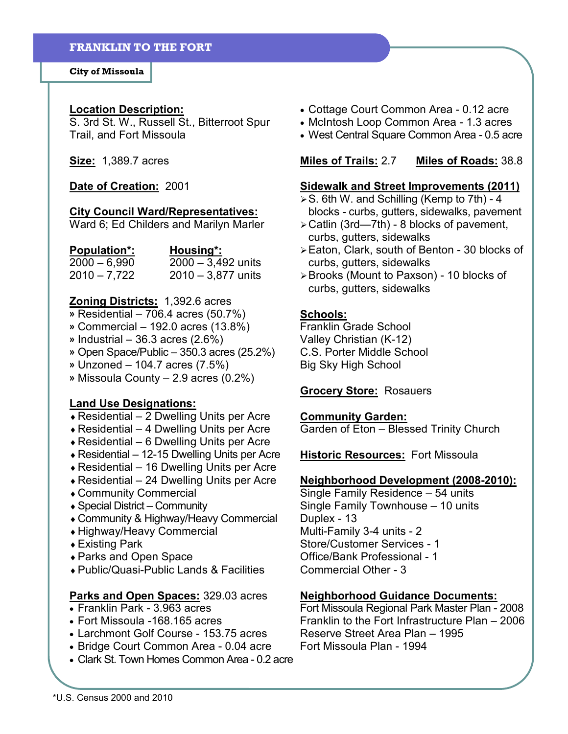City of Missoula

### Location Description:

S. 3rd St. W., Russell St., Bitterroot Spur Trail, and Fort Missoula

**Size:** 1,389.7 acres

## Date of Creation: 2001

### City Council Ward/Representatives:

Ward 6; Ed Childers and Marilyn Marler

| <b>Population*:</b> | Housing*:            |
|---------------------|----------------------|
| $2000 - 6,990$      | $2000 - 3,492$ units |
| $2010 - 7,722$      | $2010 - 3,877$ units |

### Zoning Districts: 1,392.6 acres

- » Residential 706.4 acres (50.7%)
- » Commercial 192.0 acres (13.8%)
- $\textdegree$  Industrial 36.3 acres (2.6%)
- » Open Space/Public 350.3 acres (25.2%)
- » Unzoned 104.7 acres (7.5%)
- » Missoula County 2.9 acres (0.2%)

# Land Use Designations:

- $\overline{\bullet}$  Residential 2 Dwelling Units per Acre
- $\triangle$  Residential 4 Dwelling Units per Acre
- $\triangle$  Residential 6 Dwelling Units per Acre
- ♦ Residential 12-15 Dwelling Units per Acre
- $\triangle$  Residential 16 Dwelling Units per Acre
- $\triangle$  Residential 24 Dwelling Units per Acre
- ♦ Community Commercial
- $\triangle$  Special District Community
- ♦ Community & Highway/Heavy Commercial
- ♦ Highway/Heavy Commercial
- ♦ Existing Park
- ♦ Parks and Open Space
- ♦ Public/Quasi-Public Lands & Facilities

#### Parks and Open Spaces: 329.03 acres

- Franklin Park 3.963 acres
- Fort Missoula -168.165 acres
- Larchmont Golf Course 153.75 acres
- Bridge Court Common Area 0.04 acre
- Clark St. Town Homes Common Area 0.2 acre
- Cottage Court Common Area 0.12 acre
- McIntosh Loop Common Area 1.3 acres
- West Central Square Common Area 0.5 acre

## Miles of Trails: 2.7 Miles of Roads: 38.8

### Sidewalk and Street Improvements (2011)

- $\geq$  S. 6th W. and Schilling (Kemp to 7th) 4 blocks - curbs, gutters, sidewalks, pavement
- Catlin (3rd—7th) 8 blocks of pavement, curbs, gutters, sidewalks
- Eaton, Clark, south of Benton 30 blocks of curbs, gutters, sidewalks
- Brooks (Mount to Paxson) 10 blocks of curbs, gutters, sidewalks

### Schools:

Franklin Grade School Valley Christian (K-12) C.S. Porter Middle School Big Sky High School

# **Grocery Store: Rosauers**

#### Community Garden:

Garden of Eton – Blessed Trinity Church

Historic Resources: Fort Missoula

#### Neighborhood Development (2008-2010):

Single Family Residence – 54 units Single Family Townhouse – 10 units Duplex - 13 Multi-Family 3-4 units - 2 Store/Customer Services - 1 Office/Bank Professional - 1 Commercial Other - 3

# Neighborhood Guidance Documents:

Fort Missoula Regional Park Master Plan - 2008 Franklin to the Fort Infrastructure Plan – 2006 Reserve Street Area Plan – 1995 Fort Missoula Plan - 1994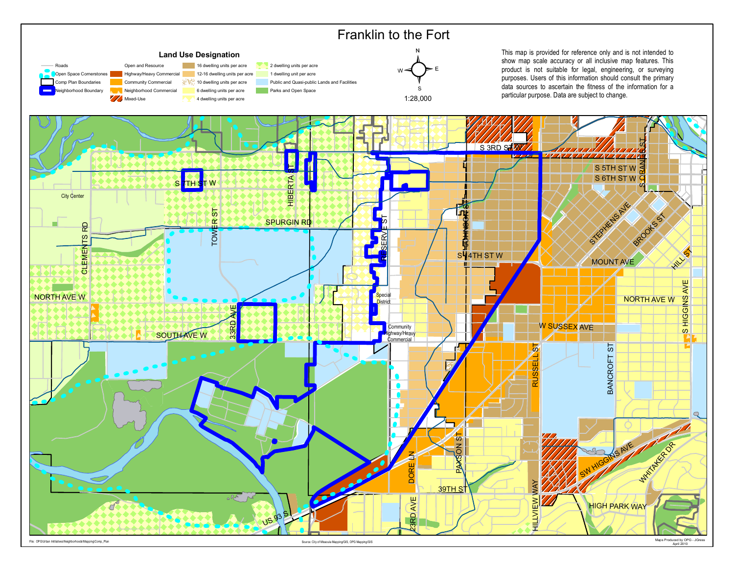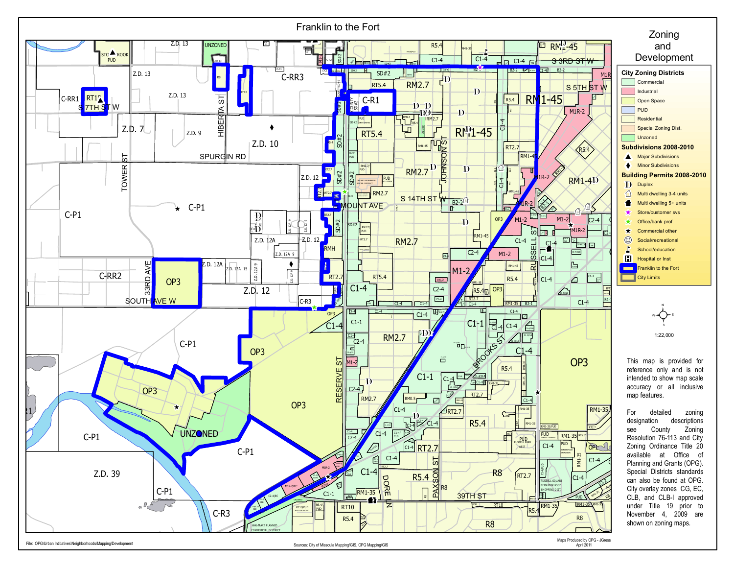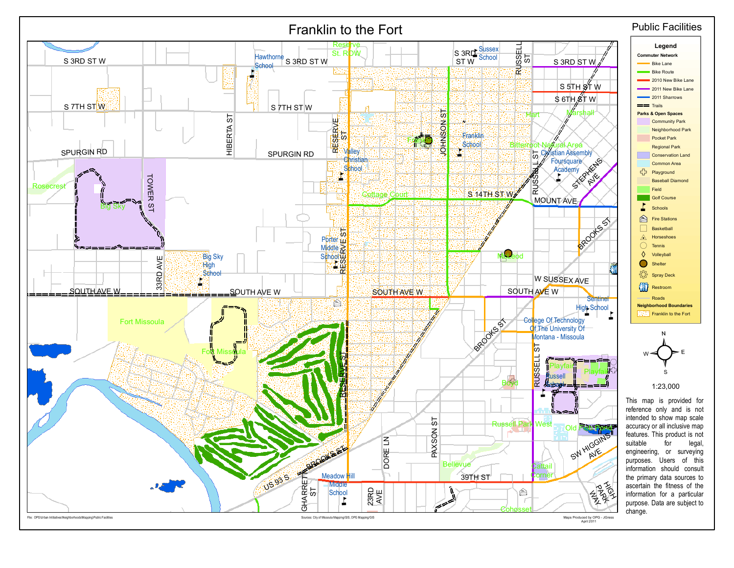